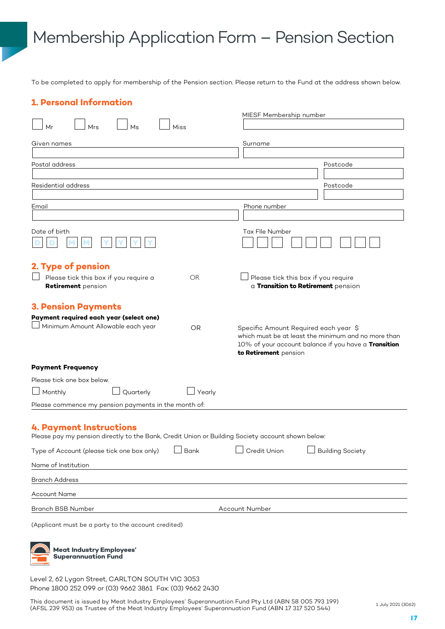# Membership Application Form – Pension Section

To be completed to apply for membership of the Pension section. Please return to the Fund at the address shown below.

| <b>1. Personal Information</b>                                                                                                      |                        |                                                                                                                                                                               |                                                                           |  |
|-------------------------------------------------------------------------------------------------------------------------------------|------------------------|-------------------------------------------------------------------------------------------------------------------------------------------------------------------------------|---------------------------------------------------------------------------|--|
|                                                                                                                                     |                        | MIESF Membership number                                                                                                                                                       |                                                                           |  |
| Ms<br>Mr<br>Mrs                                                                                                                     | Miss                   |                                                                                                                                                                               |                                                                           |  |
| Given names                                                                                                                         | Surname                |                                                                                                                                                                               |                                                                           |  |
| Postal address                                                                                                                      |                        |                                                                                                                                                                               | Postcode                                                                  |  |
|                                                                                                                                     |                        |                                                                                                                                                                               |                                                                           |  |
| Residential address                                                                                                                 |                        |                                                                                                                                                                               | Postcode                                                                  |  |
| Email                                                                                                                               |                        | Phone number                                                                                                                                                                  |                                                                           |  |
|                                                                                                                                     |                        |                                                                                                                                                                               |                                                                           |  |
| Date of birth                                                                                                                       |                        | Tax Flle Number                                                                                                                                                               |                                                                           |  |
| 2. Type of pension                                                                                                                  |                        |                                                                                                                                                                               |                                                                           |  |
| Please tick this box if you require a<br>Retirement pension                                                                         | <b>OR</b>              |                                                                                                                                                                               | Please tick this box if you require<br>a Transition to Retirement pension |  |
| <b>3. Pension Payments</b>                                                                                                          |                        |                                                                                                                                                                               |                                                                           |  |
| Payment required each year (select one)<br>Minimum Amount Allowable each year                                                       | <b>OR</b>              | Specific Amount Required each year \$<br>which must be at least the minimum and no more than<br>10% of your account balance if you have a Transition<br>to Retirement pension |                                                                           |  |
| <b>Payment Frequency</b>                                                                                                            |                        |                                                                                                                                                                               |                                                                           |  |
| Please tick one box below.                                                                                                          |                        |                                                                                                                                                                               |                                                                           |  |
| Monthly<br>Quarterly                                                                                                                | Yearly                 |                                                                                                                                                                               |                                                                           |  |
| Please commence my pension payments in the month of:                                                                                |                        |                                                                                                                                                                               |                                                                           |  |
| <b>4. Payment Instructions</b><br>Please pay my pension directly to the Bank, Credit Union or Building Society account shown below: |                        |                                                                                                                                                                               |                                                                           |  |
| Type of Account (please tick one box only)                                                                                          | Bank<br>$\blacksquare$ | Credit Union                                                                                                                                                                  | <b>Building Society</b>                                                   |  |
| Name of Institution                                                                                                                 |                        |                                                                                                                                                                               |                                                                           |  |
| <b>Branch Address</b>                                                                                                               |                        |                                                                                                                                                                               |                                                                           |  |
| <b>Account Name</b>                                                                                                                 |                        |                                                                                                                                                                               |                                                                           |  |
| Branch BSB Number                                                                                                                   | Account Number         |                                                                                                                                                                               |                                                                           |  |
| (Applicant must be a party to the account credited)<br><b>Meat Industry Employees'</b>                                              |                        |                                                                                                                                                                               |                                                                           |  |

**Superannuation Fund**

Level 2, 62 Lygon Street, CARLTON SOUTH VIC 3053 Phone 1800 252 099 or (03) 9662 3861 Fax: (03) 9662 2430

This document is issued by Meat Industry Employees' Superannuation Fund Pty Ltd (ABN 58 005 793 199) (AFSL 239 953) as Trustee of the Meat Industry Employees' Superannuation Fund (ABN 17 317 520 544)